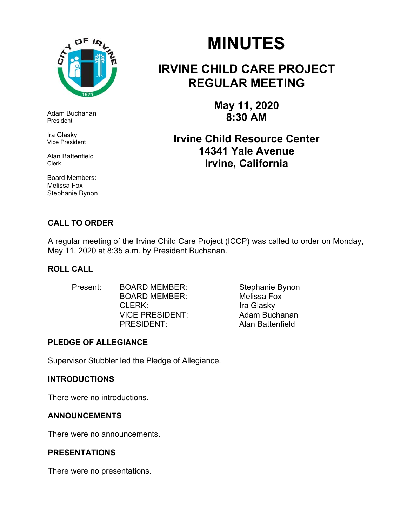

Adam Buchanan President

Ira Glasky Vice President

Alan Battenfield Clerk

Board Members: Melissa Fox Stephanie Bynon

# **MINUTES**

# **IRVINE CHILD CARE PROJECT REGULAR MEETING**

**May 11, 2020 8:30 AM** 

**Irvine Child Resource Center 14341 Yale Avenue Irvine, California** 

# **CALL TO ORDER**

A regular meeting of the Irvine Child Care Project (ICCP) was called to order on Monday, May 11, 2020 at 8:35 a.m. by President Buchanan.

# **ROLL CALL**

| <b>BOARD MEMBER:</b>   | Stephanie Bynon    |  |
|------------------------|--------------------|--|
| <b>BOARD MEMBER:</b>   | <b>Melissa Fox</b> |  |
| CLERK:                 | Ira Glasky         |  |
| <b>VICE PRESIDENT:</b> | Adam Buchanan      |  |
| PRESIDENT:             | Alan Battenfield   |  |
|                        |                    |  |

# **PLEDGE OF ALLEGIANCE**

Supervisor Stubbler led the Pledge of Allegiance.

# **INTRODUCTIONS**

There were no introductions.

# **ANNOUNCEMENTS**

There were no announcements.

# **PRESENTATIONS**

There were no presentations.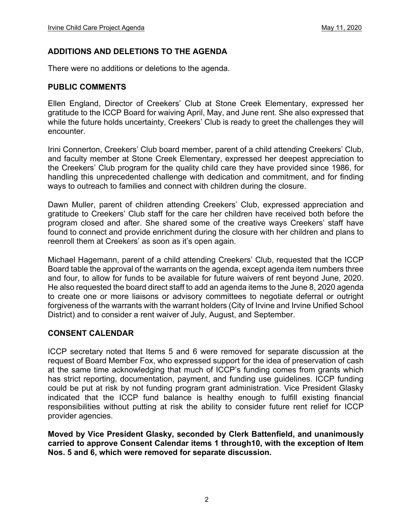# **ADDITIONS AND DELETIONS TO THE AGENDA**

There were no additions or deletions to the agenda.

### **PUBLIC COMMENTS**

Ellen England, Director of Creekers' Club at Stone Creek Elementary, expressed her gratitude to the ICCP Board for waiving April, May, and June rent. She also expressed that while the future holds uncertainty, Creekers' Club is ready to greet the challenges they will encounter.

Irini Connerton, Creekers' Club board member, parent of a child attending Creekers' Club, and faculty member at Stone Creek Elementary, expressed her deepest appreciation to the Creekers' Club program for the quality child care they have provided since 1986, for handling this unprecedented challenge with dedication and commitment, and for finding ways to outreach to families and connect with children during the closure.

Dawn Muller, parent of children attending Creekers' Club, expressed appreciation and gratitude to Creekers' Club staff for the care her children have received both before the program closed and after. She shared some of the creative ways Creekers' staff have found to connect and provide enrichment during the closure with her children and plans to reenroll them at Creekers' as soon as it's open again.

Michael Hagemann, parent of a child attending Creekers' Club, requested that the ICCP Board table the approval of the warrants on the agenda, except agenda item numbers three and four, to allow for funds to be available for future waivers of rent beyond June, 2020. He also requested the board direct staff to add an agenda items to the June 8, 2020 agenda to create one or more liaisons or advisory committees to negotiate deferral or outright forgiveness of the warrants with the warrant holders (City of Irvine and Irvine Unified School District) and to consider a rent waiver of July, August, and September.

# **CONSENT CALENDAR**

ICCP secretary noted that Items 5 and 6 were removed for separate discussion at the request of Board Member Fox, who expressed support for the idea of preservation of cash at the same time acknowledging that much of ICCP's funding comes from grants which has strict reporting, documentation, payment, and funding use guidelines. ICCP funding could be put at risk by not funding program grant administration. Vice President Glasky indicated that the ICCP fund balance is healthy enough to fulfill existing financial responsibilities without putting at risk the ability to consider future rent relief for ICCP provider agencies.

**Moved by Vice President Glasky, seconded by Clerk Battenfield, and unanimously carried to approve Consent Calendar items 1 through10, with the exception of Item Nos. 5 and 6, which were removed for separate discussion.**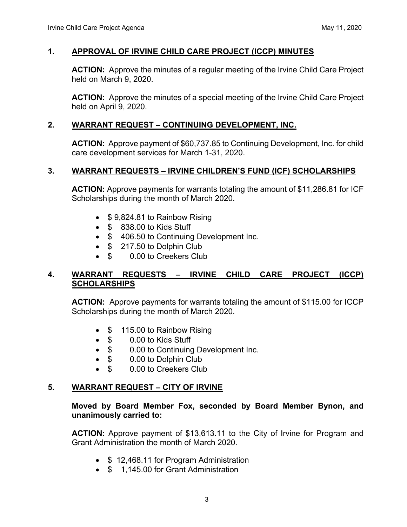# **1. APPROVAL OF IRVINE CHILD CARE PROJECT (ICCP) MINUTES**

**ACTION:** Approve the minutes of a regular meeting of the Irvine Child Care Project held on March 9, 2020.

**ACTION:** Approve the minutes of a special meeting of the Irvine Child Care Project held on April 9, 2020.

# **2. WARRANT REQUEST – CONTINUING DEVELOPMENT, INC.**

**ACTION:** Approve payment of \$60,737.85 to Continuing Development, Inc. for child care development services for March 1-31, 2020.

#### **3. WARRANT REQUESTS – IRVINE CHILDREN'S FUND (ICF) SCHOLARSHIPS**

**ACTION:** Approve payments for warrants totaling the amount of \$11,286.81 for ICF Scholarships during the month of March 2020.

- $\bullet$  \$9,824.81 to Rainbow Rising
- $\bullet$   $$$  838.00 to Kids Stuff
- \$ 406.50 to Continuing Development Inc.
- **\$** 217.50 to Dolphin Club
- \$ 0.00 to Creekers Club

# **4. WARRANT REQUESTS – IRVINE CHILD CARE PROJECT (ICCP) SCHOLARSHIPS**

**ACTION:** Approve payments for warrants totaling the amount of \$115.00 for ICCP Scholarships during the month of March 2020.

- \$ 115.00 to Rainbow Rising
- \$ 0.00 to Kids Stuff
- \$ 0.00 to Continuing Development Inc.
- \$ 0.00 to Dolphin Club
- \$ 0.00 to Creekers Club

# **5. WARRANT REQUEST – CITY OF IRVINE**

#### **Moved by Board Member Fox, seconded by Board Member Bynon, and unanimously carried to:**

**ACTION:** Approve payment of \$13,613.11 to the City of Irvine for Program and Grant Administration the month of March 2020.

- \$12,468.11 for Program Administration
- \$ 1,145.00 for Grant Administration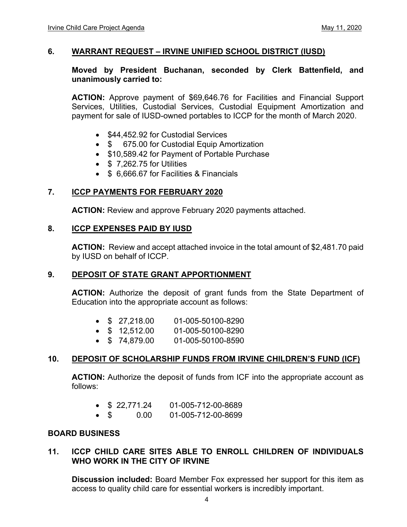### **6. WARRANT REQUEST – IRVINE UNIFIED SCHOOL DISTRICT (IUSD)**

### **Moved by President Buchanan, seconded by Clerk Battenfield, and unanimously carried to:**

**ACTION:** Approve payment of \$69,646.76 for Facilities and Financial Support Services, Utilities, Custodial Services, Custodial Equipment Amortization and payment for sale of IUSD-owned portables to ICCP for the month of March 2020.

- \$44,452.92 for Custodial Services
- \$ 675.00 for Custodial Equip Amortization
- \$10,589.42 for Payment of Portable Purchase
- $\bullet$  \$ 7.262.75 for Utilities
- \$ 6,666,67 for Facilities & Financials

# **7. ICCP PAYMENTS FOR FEBRUARY 2020**

 **ACTION:** Review and approve February 2020 payments attached.

#### **8. ICCP EXPENSES PAID BY IUSD**

**ACTION:** Review and accept attached invoice in the total amount of \$2,481.70 paid by IUSD on behalf of ICCP.

# **9. DEPOSIT OF STATE GRANT APPORTIONMENT**

**ACTION:** Authorize the deposit of grant funds from the State Department of Education into the appropriate account as follows:

|  |  | \$27,218.00 | 01-005-50100-8290 |
|--|--|-------------|-------------------|
|--|--|-------------|-------------------|

- \$ 12,512.00 01-005-50100-8290
- \$ 74,879.00 01-005-50100-8590

# **10. DEPOSIT OF SCHOLARSHIP FUNDS FROM IRVINE CHILDREN'S FUND (ICF)**

**ACTION:** Authorize the deposit of funds from ICF into the appropriate account as follows:

|  | \$22,771.24 | 01-005-712-00-8689 |
|--|-------------|--------------------|
|  |             |                    |

\$ 0.00 01-005-712-00-8699

# **BOARD BUSINESS**

# **11. ICCP CHILD CARE SITES ABLE TO ENROLL CHILDREN OF INDIVIDUALS WHO WORK IN THE CITY OF IRVINE**

**Discussion included:** Board Member Fox expressed her support for this item as access to quality child care for essential workers is incredibly important.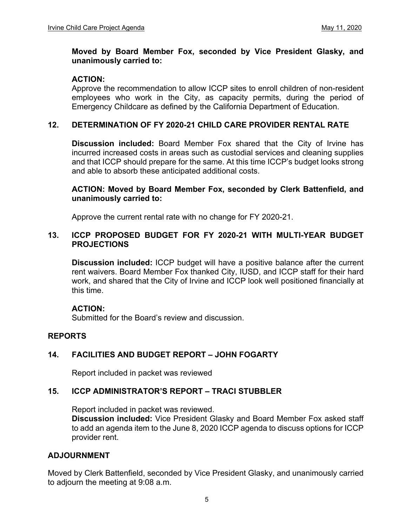#### **Moved by Board Member Fox, seconded by Vice President Glasky, and unanimously carried to:**

# **ACTION:**

Approve the recommendation to allow ICCP sites to enroll children of non-resident employees who work in the City, as capacity permits, during the period of Emergency Childcare as defined by the California Department of Education.

# **12. DETERMINATION OF FY 2020-21 CHILD CARE PROVIDER RENTAL RATE**

**Discussion included:** Board Member Fox shared that the City of Irvine has incurred increased costs in areas such as custodial services and cleaning supplies and that ICCP should prepare for the same. At this time ICCP's budget looks strong and able to absorb these anticipated additional costs.

#### **ACTION: Moved by Board Member Fox, seconded by Clerk Battenfield, and unanimously carried to:**

Approve the current rental rate with no change for FY 2020-21.

### **13. ICCP PROPOSED BUDGET FOR FY 2020-21 WITH MULTI-YEAR BUDGET PROJECTIONS**

 **Discussion included:** ICCP budget will have a positive balance after the current rent waivers. Board Member Fox thanked City, IUSD, and ICCP staff for their hard work, and shared that the City of Irvine and ICCP look well positioned financially at this time.

# **ACTION:**

Submitted for the Board's review and discussion.

# **REPORTS**

# **14. FACILITIES AND BUDGET REPORT – JOHN FOGARTY**

Report included in packet was reviewed

# **15. ICCP ADMINISTRATOR'S REPORT – TRACI STUBBLER**

Report included in packet was reviewed.

**Discussion included:** Vice President Glasky and Board Member Fox asked staff to add an agenda item to the June 8, 2020 ICCP agenda to discuss options for ICCP provider rent.

# **ADJOURNMENT**

Moved by Clerk Battenfield, seconded by Vice President Glasky, and unanimously carried to adjourn the meeting at 9:08 a.m.